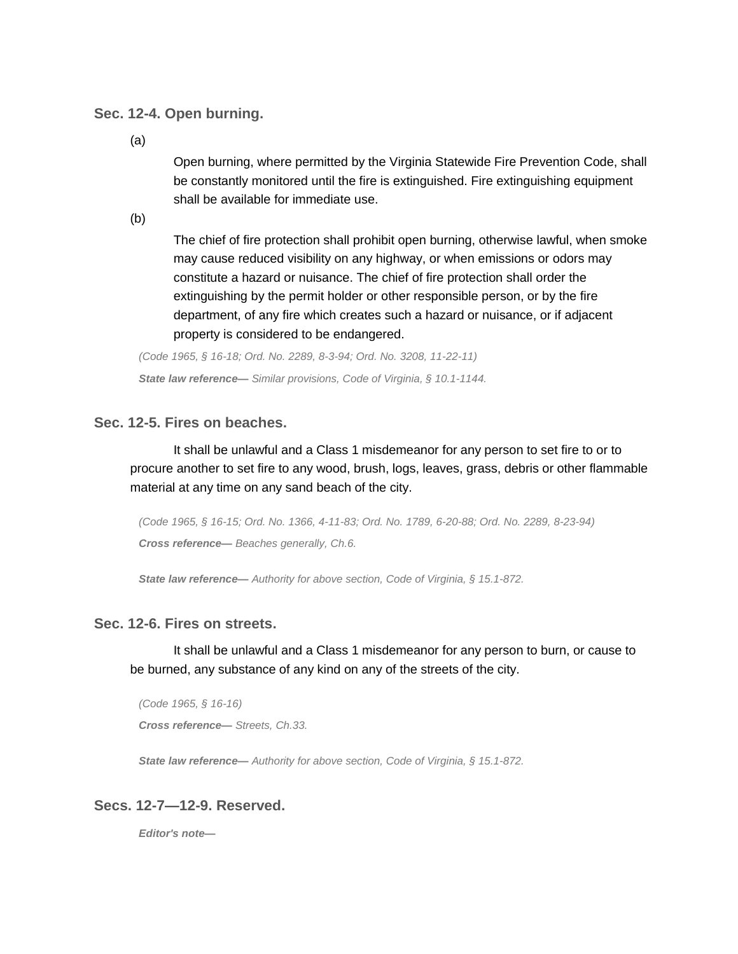## **Sec. 12-4. Open burning.**

(a)

Open burning, where permitted by the Virginia Statewide Fire Prevention Code, shall be constantly monitored until the fire is extinguished. Fire extinguishing equipment shall be available for immediate use.

(b)

The chief of fire protection shall prohibit open burning, otherwise lawful, when smoke may cause reduced visibility on any highway, or when emissions or odors may constitute a hazard or nuisance. The chief of fire protection shall order the extinguishing by the permit holder or other responsible person, or by the fire department, of any fire which creates such a hazard or nuisance, or if adjacent property is considered to be endangered.

*(Code 1965, § 16-18; Ord. No. 2289, 8-3-94; Ord. No. 3208, 11-22-11) State law reference— Similar provisions, Code of Virginia, § 10.1-1144.*

## **Sec. 12-5. Fires on beaches.**

It shall be unlawful and a Class 1 misdemeanor for any person to set fire to or to procure another to set fire to any wood, brush, logs, leaves, grass, debris or other flammable material at any time on any sand beach of the city.

*(Code 1965, § 16-15; Ord. No. 1366, 4-11-83; Ord. No. 1789, 6-20-88; Ord. No. 2289, 8-23-94) Cross reference— Beaches generally, Ch.6.*

*State law reference— Authority for above section, Code of Virginia, § 15.1-872.*

## **Sec. 12-6. Fires on streets.**

It shall be unlawful and a Class 1 misdemeanor for any person to burn, or cause to be burned, any substance of any kind on any of the streets of the city.

*(Code 1965, § 16-16) Cross reference— Streets, Ch.33.*

*State law reference— Authority for above section, Code of Virginia, § 15.1-872.*

## **Secs. 12-7—12-9. Reserved.**

*Editor's note—*